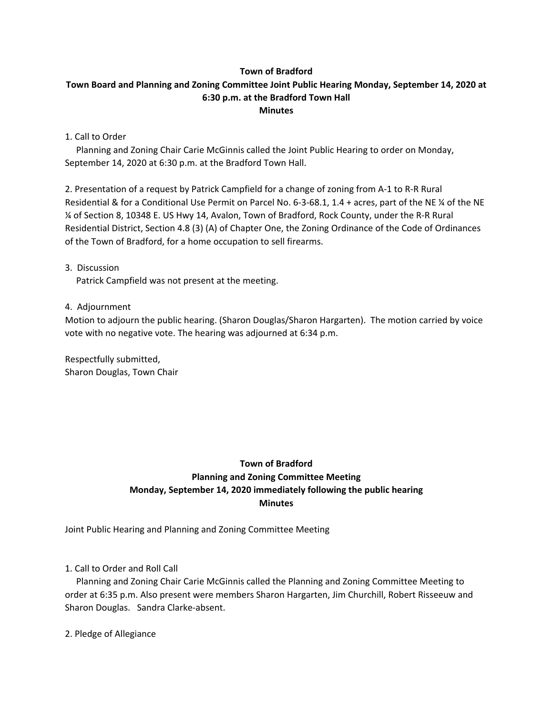### **Town of Bradford**

## **Town Board and Planning and Zoning Committee Joint Public Hearing Monday, September 14, 2020 at 6:30 p.m. at the Bradford Town Hall Minutes**

1. Call to Order

 Planning and Zoning Chair Carie McGinnis called the Joint Public Hearing to order on Monday, September 14, 2020 at 6:30 p.m. at the Bradford Town Hall.

2. Presentation of a request by Patrick Campfield for a change of zoning from A-1 to R-R Rural Residential & for a Conditional Use Permit on Parcel No. 6-3-68.1, 1.4 + acres, part of the NE ¼ of the NE ¼ of Section 8, 10348 E. US Hwy 14, Avalon, Town of Bradford, Rock County, under the R-R Rural Residential District, Section 4.8 (3) (A) of Chapter One, the Zoning Ordinance of the Code of Ordinances of the Town of Bradford, for a home occupation to sell firearms.

3. Discussion

Patrick Campfield was not present at the meeting.

4. Adjournment

Motion to adjourn the public hearing. (Sharon Douglas/Sharon Hargarten). The motion carried by voice vote with no negative vote. The hearing was adjourned at 6:34 p.m.

Respectfully submitted, Sharon Douglas, Town Chair

# **Town of Bradford Planning and Zoning Committee Meeting Monday, September 14, 2020 immediately following the public hearing Minutes**

Joint Public Hearing and Planning and Zoning Committee Meeting

1. Call to Order and Roll Call

 Planning and Zoning Chair Carie McGinnis called the Planning and Zoning Committee Meeting to order at 6:35 p.m. Also present were members Sharon Hargarten, Jim Churchill, Robert Risseeuw and Sharon Douglas. Sandra Clarke-absent.

2. Pledge of Allegiance